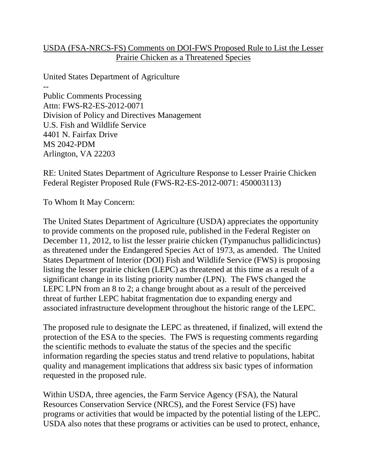## USDA (FSA-NRCS-FS) Comments on DOI-FWS Proposed Rule to List the Lesser Prairie Chicken as a Threatened Species

United States Department of Agriculture -- Public Comments Processing Attn: FWS-R2-ES-2012-0071 Division of Policy and Directives Management U.S. Fish and Wildlife Service 4401 N. Fairfax Drive MS 2042-PDM Arlington, VA 22203

RE: United States Department of Agriculture Response to Lesser Prairie Chicken Federal Register Proposed Rule (FWS-R2-ES-2012-0071: 450003113)

To Whom It May Concern:

The United States Department of Agriculture (USDA) appreciates the opportunity to provide comments on the proposed rule, published in the Federal Register on December 11, 2012, to list the lesser prairie chicken (Tympanuchus pallidicinctus) as threatened under the Endangered Species Act of 1973, as amended. The United States Department of Interior (DOI) Fish and Wildlife Service (FWS) is proposing listing the lesser prairie chicken (LEPC) as threatened at this time as a result of a significant change in its listing priority number (LPN). The FWS changed the LEPC LPN from an 8 to 2; a change brought about as a result of the perceived threat of further LEPC habitat fragmentation due to expanding energy and associated infrastructure development throughout the historic range of the LEPC.

The proposed rule to designate the LEPC as threatened, if finalized, will extend the protection of the ESA to the species. The FWS is requesting comments regarding the scientific methods to evaluate the status of the species and the specific information regarding the species status and trend relative to populations, habitat quality and management implications that address six basic types of information requested in the proposed rule.

Within USDA, three agencies, the Farm Service Agency (FSA), the Natural Resources Conservation Service (NRCS), and the Forest Service (FS) have programs or activities that would be impacted by the potential listing of the LEPC. USDA also notes that these programs or activities can be used to protect, enhance,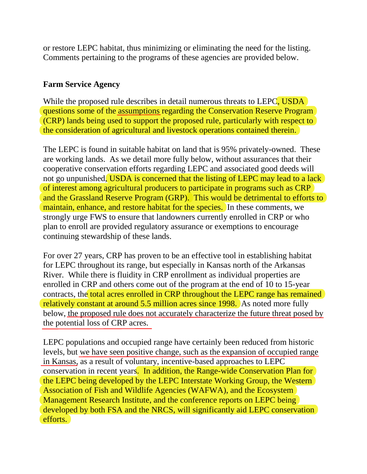or restore LEPC habitat, thus minimizing or eliminating the need for the listing. Comments pertaining to the programs of these agencies are provided below.

## **Farm Service Agency**

While the proposed rule describes in detail numerous threats to LEPC, USDA questions some of the assumptions regarding the Conservation Reserve Program (CRP) lands being used to support the proposed rule, particularly with respect to the consideration of agricultural and livestock operations contained therein.

The LEPC is found in suitable habitat on land that is 95% privately-owned. These are working lands. As we detail more fully below, without assurances that their cooperative conservation efforts regarding LEPC and associated good deeds will not go unpunished, USDA is concerned that the listing of LEPC may lead to a lack of interest among agricultural producers to participate in programs such as CRP and the Grassland Reserve Program (GRP). This would be detrimental to efforts to maintain, enhance, and restore habitat for the species. In these comments, we strongly urge FWS to ensure that landowners currently enrolled in CRP or who plan to enroll are provided regulatory assurance or exemptions to encourage continuing stewardship of these lands.

For over 27 years, CRP has proven to be an effective tool in establishing habitat for LEPC throughout its range, but especially in Kansas north of the Arkansas River. While there is fluidity in CRP enrollment as individual properties are enrolled in CRP and others come out of the program at the end of 10 to 15-year contracts, the total acres enrolled in CRP throughout the LEPC range has remained relatively constant at around 5.5 million acres since 1998. As noted more fully below, the proposed rule does not accurately characterize the future threat posed by the potential loss of CRP acres.

LEPC populations and occupied range have certainly been reduced from historic levels, but we have seen positive change, such as the expansion of occupied range in Kansas, as a result of voluntary, incentive-based approaches to LEPC conservation in recent years. In addition, the Range-wide Conservation Plan for the LEPC being developed by the LEPC Interstate Working Group, the Western Association of Fish and Wildlife Agencies (WAFWA), and the Ecosystem Management Research Institute, and the conference reports on LEPC being developed by both FSA and the NRCS, will significantly aid LEPC conservation efforts.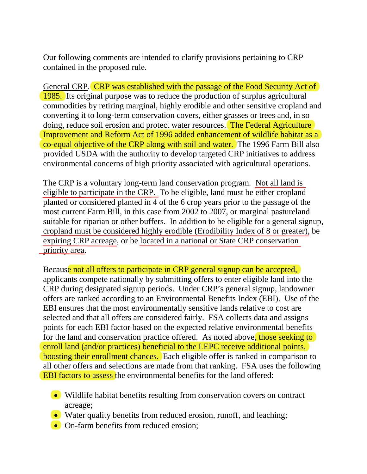Our following comments are intended to clarify provisions pertaining to CRP contained in the proposed rule.

General CRP. CRP was established with the passage of the Food Security Act of 1985. Its original purpose was to reduce the production of surplus agricultural commodities by retiring marginal, highly erodible and other sensitive cropland and converting it to long-term conservation covers, either grasses or trees and, in so doing, reduce soil erosion and protect water resources. The Federal Agriculture Improvement and Reform Act of 1996 added enhancement of wildlife habitat as a co-equal objective of the CRP along with soil and water. The 1996 Farm Bill also provided USDA with the authority to develop targeted CRP initiatives to address environmental concerns of high priority associated with agricultural operations.

The CRP is a voluntary long-term land conservation program. Not all land is eligible to participate in the CRP. To be eligible, land must be either cropland planted or considered planted in 4 of the 6 crop years prior to the passage of the most current Farm Bill, in this case from 2002 to 2007, or marginal pastureland suitable for riparian or other buffers. In addition to be eligible for a general signup, cropland must be considered highly erodible (Erodibility Index of 8 or greater), be expiring CRP acreage, or be located in a national or State CRP conservation priority area.

Because not all offers to participate in CRP general signup can be accepted, applicants compete nationally by submitting offers to enter eligible land into the CRP during designated signup periods. Under CRP's general signup, landowner offers are ranked according to an Environmental Benefits Index (EBI). Use of the EBI ensures that the most environmentally sensitive lands relative to cost are selected and that all offers are considered fairly. FSA collects data and assigns points for each EBI factor based on the expected relative environmental benefits for the land and conservation practice offered. As noted above, those seeking to enroll land (and/or practices) beneficial to the LEPC receive additional points, boosting their enrollment chances. Each eligible offer is ranked in comparison to all other offers and selections are made from that ranking. FSA uses the following EBI factors to assess the environmental benefits for the land offered:

- Wildlife habitat benefits resulting from conservation covers on contract acreage;
- Water quality benefits from reduced erosion, runoff, and leaching;
- On-farm benefits from reduced erosion: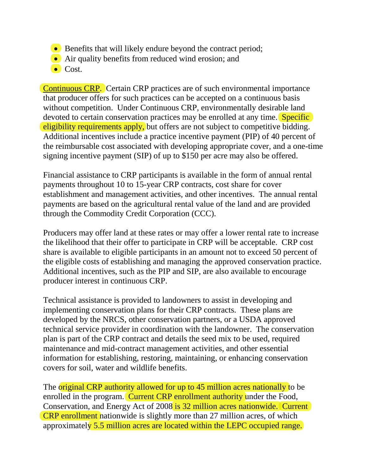- Benefits that will likely endure beyond the contract period;
- Air quality benefits from reduced wind erosion; and
- $\bullet$  Cost.

Continuous CRP. Certain CRP practices are of such environmental importance that producer offers for such practices can be accepted on a continuous basis without competition. Under Continuous CRP, environmentally desirable land devoted to certain conservation practices may be enrolled at any time. **Specific** eligibility requirements apply, but offers are not subject to competitive bidding. Additional incentives include a practice incentive payment (PIP) of 40 percent of the reimbursable cost associated with developing appropriate cover, and a one-time signing incentive payment (SIP) of up to \$150 per acre may also be offered.

Financial assistance to CRP participants is available in the form of annual rental payments throughout 10 to 15-year CRP contracts, cost share for cover establishment and management activities, and other incentives. The annual rental payments are based on the agricultural rental value of the land and are provided through the Commodity Credit Corporation (CCC).

Producers may offer land at these rates or may offer a lower rental rate to increase the likelihood that their offer to participate in CRP will be acceptable. CRP cost share is available to eligible participants in an amount not to exceed 50 percent of the eligible costs of establishing and managing the approved conservation practice. Additional incentives, such as the PIP and SIP, are also available to encourage producer interest in continuous CRP.

Technical assistance is provided to landowners to assist in developing and implementing conservation plans for their CRP contracts. These plans are developed by the NRCS, other conservation partners, or a USDA approved technical service provider in coordination with the landowner. The conservation plan is part of the CRP contract and details the seed mix to be used, required maintenance and mid-contract management activities, and other essential information for establishing, restoring, maintaining, or enhancing conservation covers for soil, water and wildlife benefits.

The original CRP authority allowed for up to 45 million acres nationally to be enrolled in the program. Current CRP enrollment authority under the Food, Conservation, and Energy Act of 2008 is 32 million acres nationwide. Current CRP enrollment nationwide is slightly more than 27 million acres, of which approximately 5.5 million acres are located within the LEPC occupied range.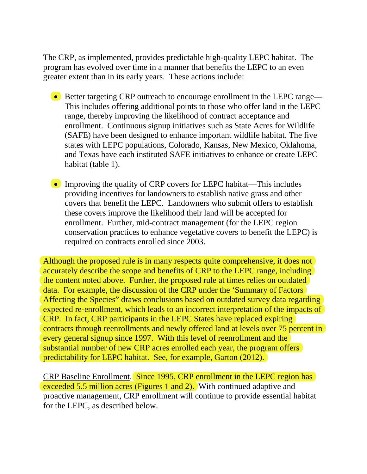The CRP, as implemented, provides predictable high-quality LEPC habitat. The program has evolved over time in a manner that benefits the LEPC to an even greater extent than in its early years. These actions include:

- Better targeting CRP outreach to encourage enrollment in the LEPC range— This includes offering additional points to those who offer land in the LEPC range, thereby improving the likelihood of contract acceptance and enrollment. Continuous signup initiatives such as State Acres for Wildlife (SAFE) have been designed to enhance important wildlife habitat. The five states with LEPC populations, Colorado, Kansas, New Mexico, Oklahoma, and Texas have each instituted SAFE initiatives to enhance or create LEPC habitat (table 1).
- Improving the quality of CRP covers for LEPC habitat—This includes providing incentives for landowners to establish native grass and other covers that benefit the LEPC. Landowners who submit offers to establish these covers improve the likelihood their land will be accepted for enrollment. Further, mid-contract management (for the LEPC region conservation practices to enhance vegetative covers to benefit the LEPC) is required on contracts enrolled since 2003.

Although the proposed rule is in many respects quite comprehensive, it does not accurately describe the scope and benefits of CRP to the LEPC range, including the content noted above. Further, the proposed rule at times relies on outdated data. For example, the discussion of the CRP under the 'Summary of Factors Affecting the Species" draws conclusions based on outdated survey data regarding expected re-enrollment, which leads to an incorrect interpretation of the impacts of CRP. In fact, CRP participants in the LEPC States have replaced expiring contracts through reenrollments and newly offered land at levels over 75 percent in every general signup since 1997. With this level of reenrollment and the substantial number of new CRP acres enrolled each year, the program offers predictability for LEPC habitat. See, for example, Garton (2012).

CRP Baseline Enrollment. Since 1995, CRP enrollment in the LEPC region has exceeded 5.5 million acres (Figures 1 and 2). With continued adaptive and proactive management, CRP enrollment will continue to provide essential habitat for the LEPC, as described below.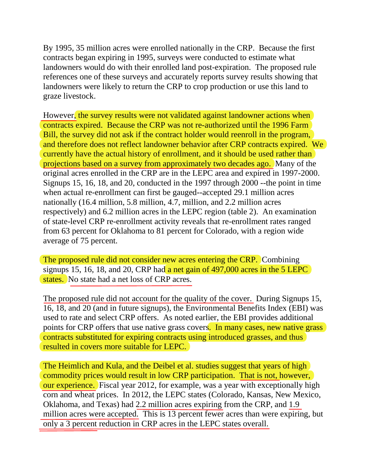By 1995, 35 million acres were enrolled nationally in the CRP. Because the first contracts began expiring in 1995, surveys were conducted to estimate what landowners would do with their enrolled land post-expiration. The proposed rule references one of these surveys and accurately reports survey results showing that landowners were likely to return the CRP to crop production or use this land to graze livestock.

However, the survey results were not validated against landowner actions when contracts expired. Because the CRP was not re-authorized until the 1996 Farm Bill, the survey did not ask if the contract holder would reenroll in the program, and therefore does not reflect landowner behavior after CRP contracts expired. We currently have the actual history of enrollment, and it should be used rather than projections based on a survey from approximately two decades ago. Many of the original acres enrolled in the CRP are in the LEPC area and expired in 1997-2000. Signups 15, 16, 18, and 20, conducted in the 1997 through 2000 --the point in time when actual re-enrollment can first be gauged--accepted 29.1 million acres nationally (16.4 million, 5.8 million, 4.7, million, and 2.2 million acres respectively) and 6.2 million acres in the LEPC region (table 2). An examination of state-level CRP re-enrollment activity reveals that re-enrollment rates ranged from 63 percent for Oklahoma to 81 percent for Colorado, with a region wide average of 75 percent.

The proposed rule did not consider new acres entering the CRP. Combining signups 15, 16, 18, and 20, CRP had a net gain of  $497,000$  acres in the 5 LEPC states. No state had a net loss of CRP acres.

The proposed rule did not account for the quality of the cover. During Signups 15, 16, 18, and 20 (and in future signups), the Environmental Benefits Index (EBI) was used to rate and select CRP offers. As noted earlier, the EBI provides additional points for CRP offers that use native grass covers. In many cases, new native grass contracts substituted for expiring contracts using introduced grasses, and thus resulted in covers more suitable for LEPC.

The Heimlich and Kula, and the Deibel et al. studies suggest that years of high commodity prices would result in low CRP participation. That is not, however, our experience. Fiscal year 2012, for example, was a year with exceptionally high corn and wheat prices. In 2012, the LEPC states (Colorado, Kansas, New Mexico, Oklahoma, and Texas) had 2.2 million acres expiring from the CRP, and 1.9 million acres were accepted. This is 13 percent fewer acres than were expiring, but only a 3 percent reduction in CRP acres in the LEPC states overall.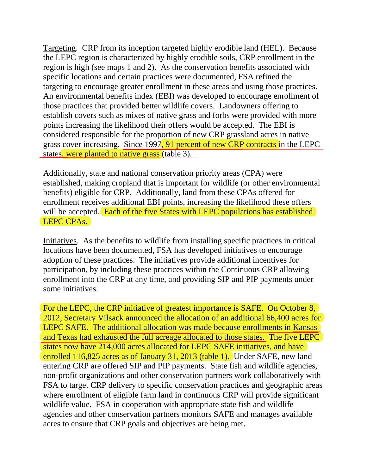Targeting. CRP from its inception targeted highly erodible land (HEL). Because the LEPC region is characterized by highly erodible soils, CRP enrollment in the region is high (see maps 1 and 2). As the conservation benefits associated with specific locations and certain practices were documented, FSA refined the targeting to encourage greater enrollment in these areas and using those practices. An environmental benefits index (EBI) was developed to encourage enrollment of those practices that provided better wildlife covers. Landowners offering to establish covers such as mixes of native grass and forbs were provided with more points increasing the likelihood their offers would be accepted. The EBI is considered responsible for the proportion of new CRP grassland acres in native grass cover increasing. Since 1997, 91 percent of new CRP contracts in the LEPC states, were planted to native grass (table 3).

Additionally, state and national conservation priority areas (CPA) were established, making cropland that is important for wildlife (or other environmental benefits) eligible for CRP. Additionally, land from these CPAs offered for enrollment receives additional EBI points, increasing the likelihood these offers will be accepted. Each of the five States with LEPC populations has established LEPC CPAs.

Initiatives. As the benefits to wildlife from installing specific practices in critical locations have been documented, FSA has developed initiatives to encourage adoption of these practices. The initiatives provide additional incentives for participation, by including these practices within the Continuous CRP allowing enrollment into the CRP at any time, and providing SIP and PIP payments under some initiatives.

For the LEPC, the CRP initiative of greatest importance is SAFE. On October 8, 2012, Secretary Vilsack announced the allocation of an additional 66,400 acres for LEPC SAFE. The additional allocation was made because enrollments in Kansas and Texas had exhausted the full acreage allocated to those states. The five LEPC states now have 214,000 acres allocated for LEPC SAFE initiatives, and have enrolled 116,825 acres as of January 31, 2013 (table 1). Under SAFE, new land entering CRP are offered SIP and PIP payments. State fish and wildlife agencies, non-profit organizations and other conservation partners work collaboratively with FSA to target CRP delivery to specific conservation practices and geographic areas where enrollment of eligible farm land in continuous CRP will provide significant wildlife value. FSA in cooperation with appropriate state fish and wildlife agencies and other conservation partners monitors SAFE and manages available acres to ensure that CRP goals and objectives are being met.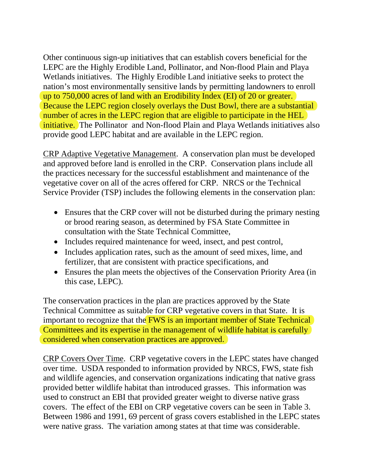Other continuous sign-up initiatives that can establish covers beneficial for the LEPC are the Highly Erodible Land, Pollinator, and Non-flood Plain and Playa Wetlands initiatives. The Highly Erodible Land initiative seeks to protect the nation's most environmentally sensitive lands by permitting landowners to enroll up to 750,000 acres of land with an Erodibility Index (EI) of 20 or greater. Because the LEPC region closely overlays the Dust Bowl, there are a substantial number of acres in the LEPC region that are eligible to participate in the HEL initiative. The Pollinator and Non-flood Plain and Playa Wetlands initiatives also provide good LEPC habitat and are available in the LEPC region.

CRP Adaptive Vegetative Management. A conservation plan must be developed and approved before land is enrolled in the CRP. Conservation plans include all the practices necessary for the successful establishment and maintenance of the vegetative cover on all of the acres offered for CRP. NRCS or the Technical Service Provider (TSP) includes the following elements in the conservation plan:

- Ensures that the CRP cover will not be disturbed during the primary nesting or brood rearing season, as determined by FSA State Committee in consultation with the State Technical Committee,
- Includes required maintenance for weed, insect, and pest control,
- Includes application rates, such as the amount of seed mixes, lime, and fertilizer, that are consistent with practice specifications, and
- Ensures the plan meets the objectives of the Conservation Priority Area (in this case, LEPC).

The conservation practices in the plan are practices approved by the State Technical Committee as suitable for CRP vegetative covers in that State. It is important to recognize that the **FWS** is an important member of State Technical Committees and its expertise in the management of wildlife habitat is carefully considered when conservation practices are approved.

CRP Covers Over Time. CRP vegetative covers in the LEPC states have changed over time. USDA responded to information provided by NRCS, FWS, state fish and wildlife agencies, and conservation organizations indicating that native grass provided better wildlife habitat than introduced grasses. This information was used to construct an EBI that provided greater weight to diverse native grass covers. The effect of the EBI on CRP vegetative covers can be seen in Table 3. Between 1986 and 1991, 69 percent of grass covers established in the LEPC states were native grass. The variation among states at that time was considerable.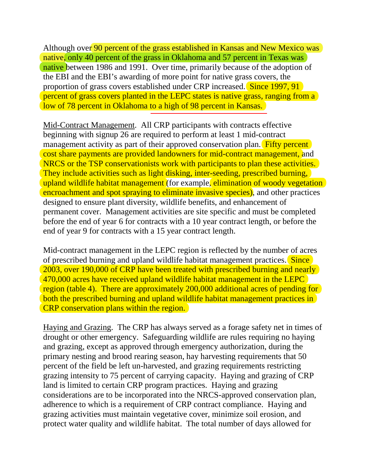Although over 90 percent of the grass established in Kansas and New Mexico was native, only 40 percent of the grass in Oklahoma and 57 percent in Texas was native between 1986 and 1991. Over time, primarily because of the adoption of the EBI and the EBI's awarding of more point for native grass covers, the proportion of grass covers established under CRP increased. Since 1997, 91 percent of grass covers planted in the LEPC states is native grass, ranging from a low of 78 percent in Oklahoma to a high of 98 percent in Kansas.

Mid-Contract Management. All CRP participants with contracts effective beginning with signup 26 are required to perform at least 1 mid-contract management activity as part of their approved conservation plan. Fifty percent cost share payments are provided landowners for mid-contract management, and NRCS or the TSP conservationists work with participants to plan these activities. They include activities such as light disking, inter-seeding, prescribed burning, upland wildlife habitat management (for example, elimination of woody vegetation encroachment and spot spraying to eliminate invasive species), and other practices designed to ensure plant diversity, wildlife benefits, and enhancement of permanent cover. Management activities are site specific and must be completed before the end of year 6 for contracts with a 10 year contract length, or before the end of year 9 for contracts with a 15 year contract length.

Mid-contract management in the LEPC region is reflected by the number of acres of prescribed burning and upland wildlife habitat management practices. Since 2003, over 190,000 of CRP have been treated with prescribed burning and nearly 470,000 acres have received upland wildlife habitat management in the LEPC region (table 4). There are approximately 200,000 additional acres of pending for both the prescribed burning and upland wildlife habitat management practices in CRP conservation plans within the region.

Haying and Grazing. The CRP has always served as a forage safety net in times of drought or other emergency. Safeguarding wildlife are rules requiring no haying and grazing, except as approved through emergency authorization, during the primary nesting and brood rearing season, hay harvesting requirements that 50 percent of the field be left un-harvested, and grazing requirements restricting grazing intensity to 75 percent of carrying capacity. Haying and grazing of CRP land is limited to certain CRP program practices. Haying and grazing considerations are to be incorporated into the NRCS-approved conservation plan, adherence to which is a requirement of CRP contract compliance. Haying and grazing activities must maintain vegetative cover, minimize soil erosion, and protect water quality and wildlife habitat. The total number of days allowed for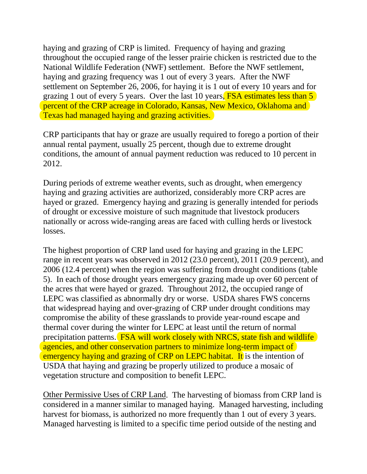haying and grazing of CRP is limited. Frequency of haying and grazing throughout the occupied range of the lesser prairie chicken is restricted due to the National Wildlife Federation (NWF) settlement. Before the NWF settlement, haying and grazing frequency was 1 out of every 3 years. After the NWF settlement on September 26, 2006, for haying it is 1 out of every 10 years and for grazing 1 out of every 5 years. Over the last 10 years, FSA estimates less than 5 percent of the CRP acreage in Colorado, Kansas, New Mexico, Oklahoma and Texas had managed haying and grazing activities.

CRP participants that hay or graze are usually required to forego a portion of their annual rental payment, usually 25 percent, though due to extreme drought conditions, the amount of annual payment reduction was reduced to 10 percent in 2012.

During periods of extreme weather events, such as drought, when emergency haying and grazing activities are authorized, considerably more CRP acres are hayed or grazed. Emergency haying and grazing is generally intended for periods of drought or excessive moisture of such magnitude that livestock producers nationally or across wide-ranging areas are faced with culling herds or livestock losses.

The highest proportion of CRP land used for haying and grazing in the LEPC range in recent years was observed in 2012 (23.0 percent), 2011 (20.9 percent), and 2006 (12.4 percent) when the region was suffering from drought conditions (table 5). In each of those drought years emergency grazing made up over 60 percent of the acres that were hayed or grazed. Throughout 2012, the occupied range of LEPC was classified as abnormally dry or worse. USDA shares FWS concerns that widespread haying and over-grazing of CRP under drought conditions may compromise the ability of these grasslands to provide year-round escape and thermal cover during the winter for LEPC at least until the return of normal precipitation patterns. FSA will work closely with NRCS, state fish and wildlife agencies, and other conservation partners to minimize long-term impact of emergency haying and grazing of CRP on LEPC habitat. It is the intention of USDA that haying and grazing be properly utilized to produce a mosaic of vegetation structure and composition to benefit LEPC.

Other Permissive Uses of CRP Land. The harvesting of biomass from CRP land is considered in a manner similar to managed haying. Managed harvesting, including harvest for biomass, is authorized no more frequently than 1 out of every 3 years. Managed harvesting is limited to a specific time period outside of the nesting and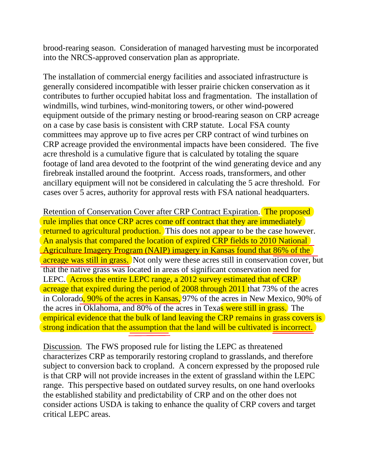brood-rearing season. Consideration of managed harvesting must be incorporated into the NRCS-approved conservation plan as appropriate.

The installation of commercial energy facilities and associated infrastructure is generally considered incompatible with lesser prairie chicken conservation as it contributes to further occupied habitat loss and fragmentation. The installation of windmills, wind turbines, wind-monitoring towers, or other wind-powered equipment outside of the primary nesting or brood-rearing season on CRP acreage on a case by case basis is consistent with CRP statute. Local FSA county committees may approve up to five acres per CRP contract of wind turbines on CRP acreage provided the environmental impacts have been considered. The five acre threshold is a cumulative figure that is calculated by totaling the square footage of land area devoted to the footprint of the wind generating device and any firebreak installed around the footprint. Access roads, transformers, and other ancillary equipment will not be considered in calculating the 5 acre threshold. For cases over 5 acres, authority for approval rests with FSA national headquarters.

Retention of Conservation Cover after CRP Contract Expiration. The proposed rule implies that once CRP acres come off contract that they are immediately returned to agricultural production. This does not appear to be the case however. An analysis that compared the location of expired CRP fields to 2010 National Agriculture Imagery Program (NAIP) imagery in Kansas found that 86% of the acreage was still in grass. Not only were these acres still in conservation cover, but that the native grass was located in areas of significant conservation need for LEPC. Across the entire LEPC range, a 2012 survey estimated that of CRP acreage that expired during the period of 2008 through 2011 that 73% of the acres in Colorado, 90% of the acres in Kansas, 97% of the acres in New Mexico, 90% of the acres in Oklahoma, and 80% of the acres in Texas were still in grass. The empirical evidence that the bulk of land leaving the CRP remains in grass covers is strong indication that the assumption that the land will be cultivated is incorrect.

Discussion. The FWS proposed rule for listing the LEPC as threatened characterizes CRP as temporarily restoring cropland to grasslands, and therefore subject to conversion back to cropland. A concern expressed by the proposed rule is that CRP will not provide increases in the extent of grassland within the LEPC range. This perspective based on outdated survey results, on one hand overlooks the established stability and predictability of CRP and on the other does not consider actions USDA is taking to enhance the quality of CRP covers and target critical LEPC areas.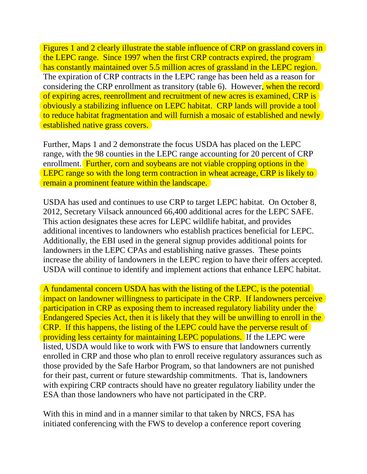Figures 1 and 2 clearly illustrate the stable influence of CRP on grassland covers in the LEPC range. Since 1997 when the first CRP contracts expired, the program has constantly maintained over 5.5 million acres of grassland in the LEPC region. The expiration of CRP contracts in the LEPC range has been held as a reason for considering the CRP enrollment as transitory (table 6). However, when the record of expiring acres, reenrollment and recruitment of new acres is examined, CRP is obviously a stabilizing influence on LEPC habitat. CRP lands will provide a tool to reduce habitat fragmentation and will furnish a mosaic of established and newly established native grass covers.

Further, Maps 1 and 2 demonstrate the focus USDA has placed on the LEPC range, with the 98 counties in the LEPC range accounting for 20 percent of CRP enrollment. Further, corn and soybeans are not viable cropping options in the LEPC range so with the long term contraction in wheat acreage, CRP is likely to remain a prominent feature within the landscape.

USDA has used and continues to use CRP to target LEPC habitat. On October 8, 2012, Secretary Vilsack announced 66,400 additional acres for the LEPC SAFE. This action designates these acres for LEPC wildlife habitat, and provides additional incentives to landowners who establish practices beneficial for LEPC. Additionally, the EBI used in the general signup provides additional points for landowners in the LEPC CPAs and establishing native grasses. These points increase the ability of landowners in the LEPC region to have their offers accepted. USDA will continue to identify and implement actions that enhance LEPC habitat.

A fundamental concern USDA has with the listing of the LEPC, is the potential impact on landowner willingness to participate in the CRP. If landowners perceive participation in CRP as exposing them to increased regulatory liability under the Endangered Species Act, then it is likely that they will be unwilling to enroll in the CRP. If this happens, the listing of the LEPC could have the perverse result of providing less certainty for maintaining LEPC populations. If the LEPC were listed, USDA would like to work with FWS to ensure that landowners currently enrolled in CRP and those who plan to enroll receive regulatory assurances such as those provided by the Safe Harbor Program, so that landowners are not punished for their past, current or future stewardship commitments. That is, landowners with expiring CRP contracts should have no greater regulatory liability under the ESA than those landowners who have not participated in the CRP.

With this in mind and in a manner similar to that taken by NRCS, FSA has initiated conferencing with the FWS to develop a conference report covering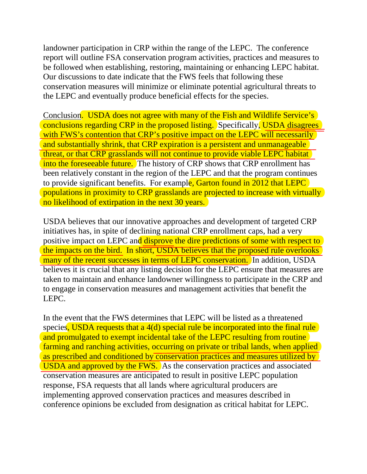landowner participation in CRP within the range of the LEPC. The conference report will outline FSA conservation program activities, practices and measures to be followed when establishing, restoring, maintaining or enhancing LEPC habitat. Our discussions to date indicate that the FWS feels that following these conservation measures will minimize or eliminate potential agricultural threats to the LEPC and eventually produce beneficial effects for the species.

Conclusion. USDA does not agree with many of the Fish and Wildlife Service's conclusions regarding CRP in the proposed listing. Specifically, USDA disagrees with FWS's contention that CRP's positive impact on the LEPC will necessarily and substantially shrink, that CRP expiration is a persistent and unmanageable threat, or that CRP grasslands will not continue to provide viable LEPC habitat into the foreseeable future. The history of CRP shows that CRP enrollment has been relatively constant in the region of the LEPC and that the program continues to provide significant benefits. For example, Garton found in 2012 that LEPC populations in proximity to CRP grasslands are projected to increase with virtually no likelihood of extirpation in the next 30 years.

USDA believes that our innovative approaches and development of targeted CRP initiatives has, in spite of declining national CRP enrollment caps, had a very positive impact on LEPC and disprove the dire predictions of some with respect to the impacts on the bird. In short, USDA believes that the proposed rule overlooks many of the recent successes in terms of LEPC conservation. In addition, USDA believes it is crucial that any listing decision for the LEPC ensure that measures are taken to maintain and enhance landowner willingness to participate in the CRP and to engage in conservation measures and management activities that benefit the LEPC.

In the event that the FWS determines that LEPC will be listed as a threatened species, USDA requests that a 4(d) special rule be incorporated into the final rule and promulgated to exempt incidental take of the LEPC resulting from routine farming and ranching activities, occurring on private or tribal lands, when applied as prescribed and conditioned by conservation practices and measures utilized by USDA and approved by the FWS. As the conservation practices and associated conservation measures are anticipated to result in positive LEPC population response, FSA requests that all lands where agricultural producers are implementing approved conservation practices and measures described in conference opinions be excluded from designation as critical habitat for LEPC.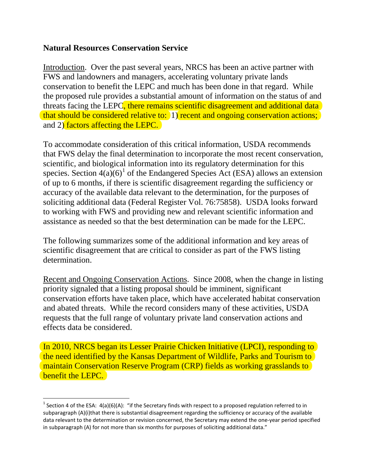## **Natural Resources Conservation Service**

Introduction. Over the past several years, NRCS has been an active partner with FWS and landowners and managers, accelerating voluntary private lands conservation to benefit the LEPC and much has been done in that regard. While the proposed rule provides a substantial amount of information on the status of and threats facing the LEPC, there remains scientific disagreement and additional data that should be considered relative to: 1) recent and ongoing conservation actions; and 2) factors affecting the LEPC.

To accommodate consideration of this critical information, USDA recommends that FWS delay the final determination to incorporate the most recent conservation, scientific, and biological information into its regulatory determination for this species. Section  $4(a)(6)^1$  $4(a)(6)^1$  of the Endangered Species Act (ESA) allows an extension of up to 6 months, if there is scientific disagreement regarding the sufficiency or accuracy of the available data relevant to the determination, for the purposes of soliciting additional data (Federal Register Vol. 76:75858). USDA looks forward to working with FWS and providing new and relevant scientific information and assistance as needed so that the best determination can be made for the LEPC.

The following summarizes some of the additional information and key areas of scientific disagreement that are critical to consider as part of the FWS listing determination.

Recent and Ongoing Conservation Actions. Since 2008, when the change in listing priority signaled that a listing proposal should be imminent, significant conservation efforts have taken place, which have accelerated habitat conservation and abated threats. While the record considers many of these activities, USDA requests that the full range of voluntary private land conservation actions and effects data be considered.

In 2010, NRCS began its Lesser Prairie Chicken Initiative (LPCI), responding to the need identified by the Kansas Department of Wildlife, Parks and Tourism to maintain Conservation Reserve Program (CRP) fields as working grasslands to benefit the LEPC.

<span id="page-13-0"></span><sup>&</sup>lt;sup>1</sup> Section 4 of the ESA:  $4(a)(6)(A)$ : "if the Secretary finds with respect to a proposed regulation referred to in subparagraph (A)(i)that there is substantial disagreement regarding the sufficiency or accuracy of the available data relevant to the determination or revision concerned, the Secretary may extend the one-year period specified in subparagraph (A) for not more than six months for purposes of soliciting additional data."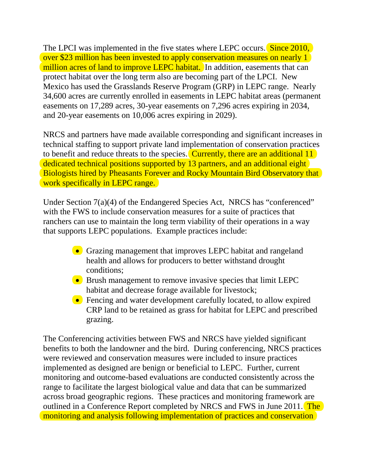The LPCI was implemented in the five states where LEPC occurs. Since 2010, over \$23 million has been invested to apply conservation measures on nearly 1 million acres of land to improve LEPC habitat. In addition, easements that can protect habitat over the long term also are becoming part of the LPCI. New Mexico has used the Grasslands Reserve Program (GRP) in LEPC range. Nearly 34,600 acres are currently enrolled in easements in LEPC habitat areas (permanent easements on 17,289 acres, 30-year easements on 7,296 acres expiring in 2034, and 20-year easements on 10,006 acres expiring in 2029).

NRCS and partners have made available corresponding and significant increases in technical staffing to support private land implementation of conservation practices to benefit and reduce threats to the species. Currently, there are an additional 11 dedicated technical positions supported by 13 partners, and an additional eight Biologists hired by Pheasants Forever and Rocky Mountain Bird Observatory that work specifically in LEPC range.

Under Section 7(a)(4) of the Endangered Species Act, NRCS has "conferenced" with the FWS to include conservation measures for a suite of practices that ranchers can use to maintain the long term viability of their operations in a way that supports LEPC populations. Example practices include:

- Grazing management that improves LEPC habitat and rangeland health and allows for producers to better withstand drought conditions;
- Brush management to remove invasive species that limit LEPC habitat and decrease forage available for livestock;
- Fencing and water development carefully located, to allow expired CRP land to be retained as grass for habitat for LEPC and prescribed grazing.

The Conferencing activities between FWS and NRCS have yielded significant benefits to both the landowner and the bird. During conferencing, NRCS practices were reviewed and conservation measures were included to insure practices implemented as designed are benign or beneficial to LEPC. Further, current monitoring and outcome-based evaluations are conducted consistently across the range to facilitate the largest biological value and data that can be summarized across broad geographic regions. These practices and monitoring framework are outlined in a Conference Report completed by NRCS and FWS in June 2011. The monitoring and analysis following implementation of practices and conservation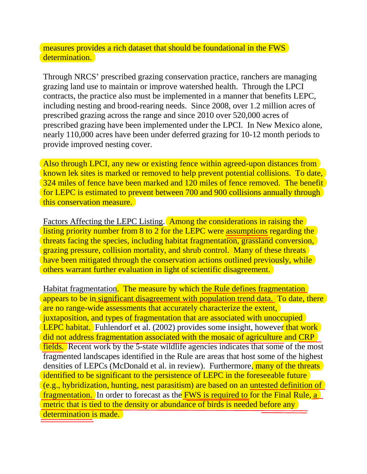measures provides a rich dataset that should be foundational in the FWS determination.

Through NRCS' prescribed grazing conservation practice, ranchers are managing grazing land use to maintain or improve watershed health. Through the LPCI contracts, the practice also must be implemented in a manner that benefits LEPC, including nesting and brood-rearing needs. Since 2008, over 1.2 million acres of prescribed grazing across the range and since 2010 over 520,000 acres of prescribed grazing have been implemented under the LPCI. In New Mexico alone, nearly 110,000 acres have been under deferred grazing for 10-12 month periods to provide improved nesting cover.

Also through LPCI, any new or existing fence within agreed-upon distances from known lek sites is marked or removed to help prevent potential collisions. To date, 324 miles of fence have been marked and 120 miles of fence removed. The benefit for LEPC is estimated to prevent between 700 and 900 collisions annually through this conservation measure.

Factors Affecting the LEPC Listing. Among the considerations in raising the listing priority number from 8 to 2 for the LEPC were assumptions regarding the threats facing the species, including habitat fragmentation, grassland conversion, grazing pressure, collision mortality, and shrub control. Many of these threats have been mitigated through the conservation actions outlined previously, while others warrant further evaluation in light of scientific disagreement.

Habitat fragmentation. The measure by which the Rule defines fragmentation appears to be in significant disagreement with population trend data. To date, there are no range-wide assessments that accurately characterize the extent, juxtaposition, and types of fragmentation that are associated with unoccupied **LEPC habitat.** Fuhlendorf et al. (2002) provides some insight, however that work did not address fragmentation associated with the mosaic of agriculture and CRP fields. Recent work by the 5-state wildlife agencies indicates that some of the most fragmented landscapes identified in the Rule are areas that host some of the highest densities of LEPCs (McDonald et al. in review). Furthermore, many of the threats identified to be significant to the persistence of LEPC in the foreseeable future (e.g., hybridization, hunting, nest parasitism) are based on an untested definition of fragmentation. In order to forecast as the FWS is required to for the Final Rule, a metric that is tied to the density or abundance of birds is needed before any determination is made.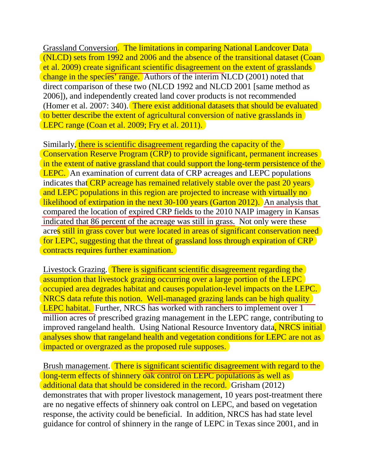Grassland Conversion. The limitations in comparing National Landcover Data (NLCD) sets from 1992 and 2006 and the absence of the transitional dataset (Coan et al. 2009) create significant scientific disagreement on the extent of grasslands change in the species' range. Authors of the interim NLCD (2001) noted that direct comparison of these two (NLCD 1992 and NLCD 2001 [same method as 2006]), and independently created land cover products is not recommended (Homer et al. 2007: 340). There exist additional datasets that should be evaluated to better describe the extent of agricultural conversion of native grasslands in LEPC range (Coan et al. 2009; Fry et al. 2011).

Similarly, there is scientific disagreement regarding the capacity of the Conservation Reserve Program (CRP) to provide significant, permanent increases in the extent of native grassland that could support the long-term persistence of the LEPC. An examination of current data of CRP acreages and LEPC populations indicates that CRP acreage has remained relatively stable over the past 20 years and LEPC populations in this region are projected to increase with virtually no likelihood of extirpation in the next 30-100 years (Garton 2012). An analysis that compared the location of expired CRP fields to the 2010 NAIP imagery in Kansas indicated that 86 percent of the acreage was still in grass. Not only were these acres still in grass cover but were located in areas of significant conservation need for LEPC, suggesting that the threat of grassland loss through expiration of CRP contracts requires further examination.

Livestock Grazing. There is significant scientific disagreement regarding the assumption that livestock grazing occurring over a large portion of the LEPC occupied area degrades habitat and causes population-level impacts on the LEPC. NRCS data refute this notion. Well-managed grazing lands can be high quality LEPC habitat. Further, NRCS has worked with ranchers to implement over 1 million acres of prescribed grazing management in the LEPC range, contributing to improved rangeland health. Using National Resource Inventory data, NRCS initial analyses show that rangeland health and vegetation conditions for LEPC are not as impacted or overgrazed as the proposed rule supposes.

Brush management. There is significant scientific disagreement with regard to the long-term effects of shinnery oak control on LEPC populations as well as additional data that should be considered in the record. Grisham (2012) demonstrates that with proper livestock management, 10 years post-treatment there are no negative effects of shinnery oak control on LEPC, and based on vegetation response, the activity could be beneficial. In addition, NRCS has had state level guidance for control of shinnery in the range of LEPC in Texas since 2001, and in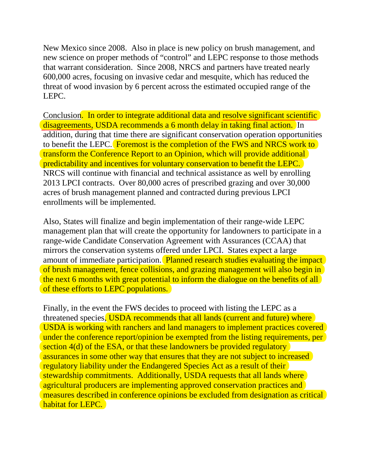New Mexico since 2008. Also in place is new policy on brush management, and new science on proper methods of "control" and LEPC response to those methods that warrant consideration. Since 2008, NRCS and partners have treated nearly 600,000 acres, focusing on invasive cedar and mesquite, which has reduced the threat of wood invasion by 6 percent across the estimated occupied range of the LEPC.

Conclusion. In order to integrate additional data and resolve significant scientific disagreements, USDA recommends a 6 month delay in taking final action. In addition, during that time there are significant conservation operation opportunities to benefit the LEPC. **Foremost is the completion of the FWS and NRCS work to** transform the Conference Report to an Opinion, which will provide additional predictability and incentives for voluntary conservation to benefit the LEPC. NRCS will continue with financial and technical assistance as well by enrolling 2013 LPCI contracts. Over 80,000 acres of prescribed grazing and over 30,000 acres of brush management planned and contracted during previous LPCI enrollments will be implemented.

Also, States will finalize and begin implementation of their range-wide LEPC management plan that will create the opportunity for landowners to participate in a range-wide Candidate Conservation Agreement with Assurances (CCAA) that mirrors the conservation systems offered under LPCI. States expect a large amount of immediate participation. Planned research studies evaluating the impact of brush management, fence collisions, and grazing management will also begin in the next 6 months with great potential to inform the dialogue on the benefits of all of these efforts to LEPC populations.

Finally, in the event the FWS decides to proceed with listing the LEPC as a threatened species, USDA recommends that all lands (current and future) where USDA is working with ranchers and land managers to implement practices covered under the conference report/opinion be exempted from the listing requirements, per section 4(d) of the ESA, or that these landowners be provided regulatory assurances in some other way that ensures that they are not subject to increased regulatory liability under the Endangered Species Act as a result of their stewardship commitments. Additionally, USDA requests that all lands where agricultural producers are implementing approved conservation practices and measures described in conference opinions be excluded from designation as critical habitat for LEPC.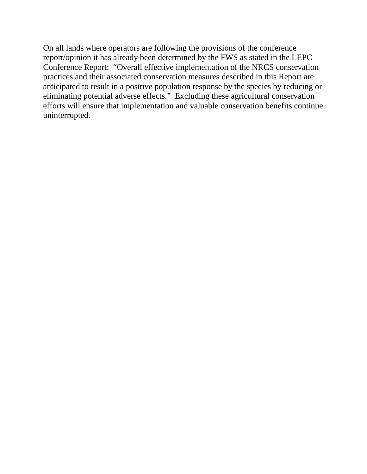On all lands where operators are following the provisions of the conference report/opinion it has already been determined by the FWS as stated in the LEPC Conference Report: "Overall effective implementation of the NRCS conservation practices and their associated conservation measures described in this Report are anticipated to result in a positive population response by the species by reducing or eliminating potential adverse effects." Excluding these agricultural conservation efforts will ensure that implementation and valuable conservation benefits continue uninterrupted.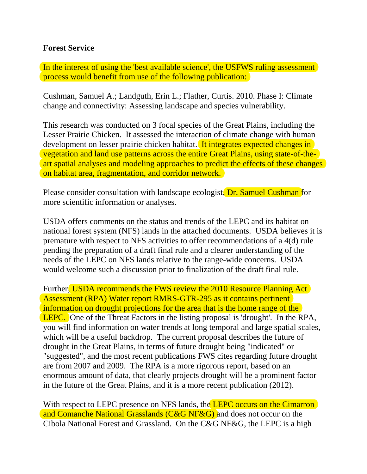## **Forest Service**

In the interest of using the 'best available science', the USFWS ruling assessment process would benefit from use of the following publication:

Cushman, Samuel A.; Landguth, Erin L.; Flather, Curtis. 2010. Phase I: Climate change and connectivity: Assessing landscape and species vulnerability.

This research was conducted on 3 focal species of the Great Plains, including the Lesser Prairie Chicken. It assessed the interaction of climate change with human development on lesser prairie chicken habitat. It integrates expected changes in vegetation and land use patterns across the entire Great Plains, using state-of-theart spatial analyses and modeling approaches to predict the effects of these changes on habitat area, fragmentation, and corridor network.

Please consider consultation with landscape ecologist, Dr. Samuel Cushman for more scientific information or analyses.

USDA offers comments on the status and trends of the LEPC and its habitat on national forest system (NFS) lands in the attached documents. USDA believes it is premature with respect to NFS activities to offer recommendations of a 4(d) rule pending the preparation of a draft final rule and a clearer understanding of the needs of the LEPC on NFS lands relative to the range-wide concerns. USDA would welcome such a discussion prior to finalization of the draft final rule.

Further, USDA recommends the FWS review the 2010 Resource Planning Act Assessment (RPA) Water report RMRS-GTR-295 as it contains pertinent information on drought projections for the area that is the home range of the LEPC. One of the Threat Factors in the listing proposal is 'drought'. In the RPA, you will find information on water trends at long temporal and large spatial scales, which will be a useful backdrop. The current proposal describes the future of drought in the Great Plains, in terms of future drought being "indicated" or "suggested", and the most recent publications FWS cites regarding future drought are from 2007 and 2009. The RPA is a more rigorous report, based on an enormous amount of data, that clearly projects drought will be a prominent factor in the future of the Great Plains, and it is a more recent publication (2012).

With respect to LEPC presence on NFS lands, the LEPC occurs on the Cimarron and Comanche National Grasslands (C&G NF&G) and does not occur on the Cibola National Forest and Grassland. On the C&G NF&G, the LEPC is a high